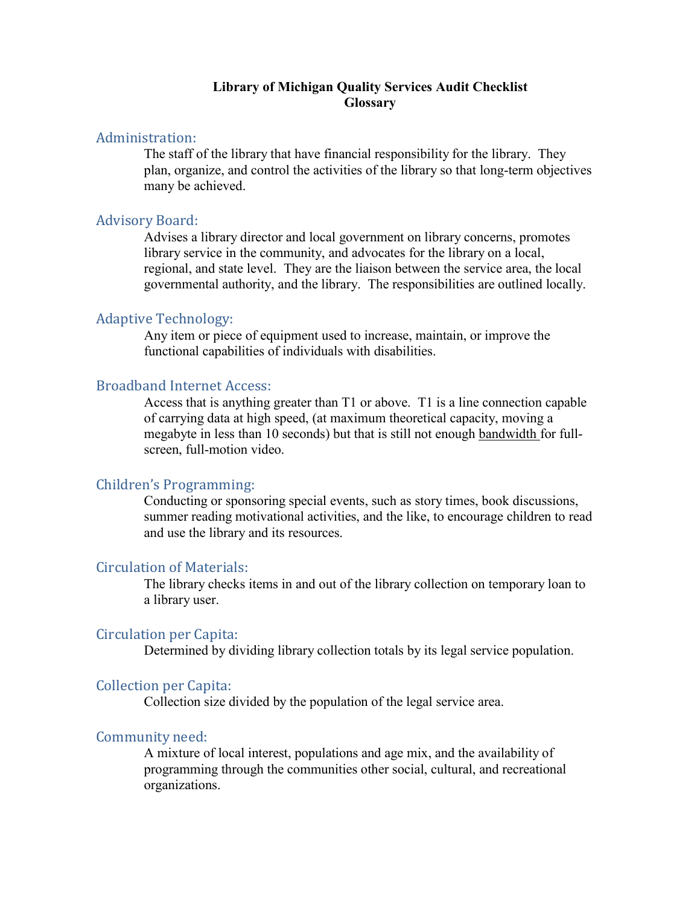## **Library of Michigan Quality Services Audit Checklist Glossary**

## Administration:

The staff of the library that have financial responsibility for the library. They plan, organize, and control the activities of the library so that long-term objectives many be achieved.

# Advisory Board:

Advises a library director and local government on library concerns, promotes library service in the community, and advocates for the library on a local, regional, and state level. They are the liaison between the service area, the local governmental authority, and the library. The responsibilities are outlined locally.

### Adaptive Technology:

Any item or piece of equipment used to increase, maintain, or improve the functional capabilities of individuals with disabilities.

# Broadband Internet Access:

Access that is anything greater than T1 or above. T1 is a line connection capable of carrying data at high speed, (at maximum theoretical capacity, moving a megabyte in less than 10 seconds) but that is still not enough [bandwidth f](http://www.netlingo.com/lookup.cfm?term=bandwidth)or fullscreen, full-motion video.

## Children's Programming:

Conducting or sponsoring special events, such as story times, book discussions, summer reading motivational activities, and the like, to encourage children to read and use the library and its resources.

# Circulation of Materials:

The library checks items in and out of the library collection on temporary loan to a library user.

### Circulation per Capita:

Determined by dividing library collection totals by its legal service population.

## Collection per Capita:

Collection size divided by the population of the legal service area.

# Community need:

A mixture of local interest, populations and age mix, and the availability of programming through the communities other social, cultural, and recreational organizations.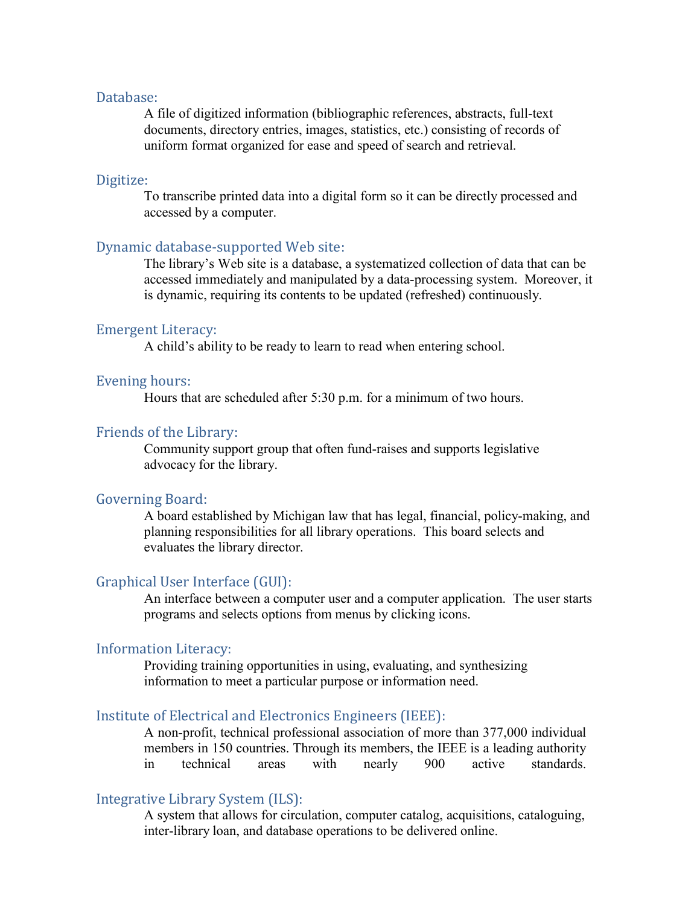#### Database:

A [file](http://www.wcsu.ctstateu.edu/library/#file) of [digitized](http://www.wcsu.ctstateu.edu/library/#digitization) [information](http://www.wcsu.ctstateu.edu/library/#information) (bibliographic references, [abstracts](http://www.wcsu.ctstateu.edu/library/#abstract), [full-text](http://www.wcsu.ctstateu.edu/library/#fulltext) [documents](http://www.wcsu.ctstateu.edu/library/#document), [directory](http://www.wcsu.ctstateu.edu/library/#directory) [entries,](http://www.wcsu.ctstateu.edu/library/#entry) images, statistics, etc.) consisting of [records](http://www.wcsu.ctstateu.edu/library/#record) of uniform [format](http://www.wcsu.ctstateu.edu/library/#format) organized for ease and speed of [search](http://www.wcsu.ctstateu.edu/library/#search) and [retrieval.](http://www.wcsu.ctstateu.edu/library/#inforetrieval)

#### Digitize:

To transcribe printed data into a digital form so it can be directly processed and accessed by a computer.

#### Dynamic database-supported Web site:

The library's Web site is a database, a systematized collection of data that can be accessed immediately and manipulated by a data-processing system. Moreover, it is dynamic, requiring its contents to be updated (refreshed) continuously.

#### Emergent Literacy:

A child's ability to be ready to learn to read when entering school.

#### Evening hours:

Hours that are scheduled after 5:30 p.m. for a minimum of two hours.

#### Friends of the Library:

Community support group that often fund-raises and supports legislative advocacy for the library.

# Governing Board:

A board established by Michigan law that has legal, financial, policy-making, and planning responsibilities for all library operations. This board selects and evaluates the library director.

#### Graphical User Interface (GUI):

An [interface](http://www.netlingo.com/lookup.cfm?term=interface) between a computer [user](http://www.netlingo.com/lookup.cfm?term=user) and a computer application. The user starts programs and selects options from menus by clicking icons.

### Information Literacy:

Providing training opportunities in using, evaluating, and synthesizing information to meet a particular purpose or information need.

# Institute of Electrical and Electronics Engineers (IEEE):

A non-profit, technical professional association of more than 377,000 individual members in 150 countries. Through its members, the IEEE is a leading authority in technical areas with nearly 900 active standards.

# Integrative Library System (ILS):

A system that allows for circulation, computer catalog, acquisitions, cataloguing, inter-library loan, and database operations to be delivered online.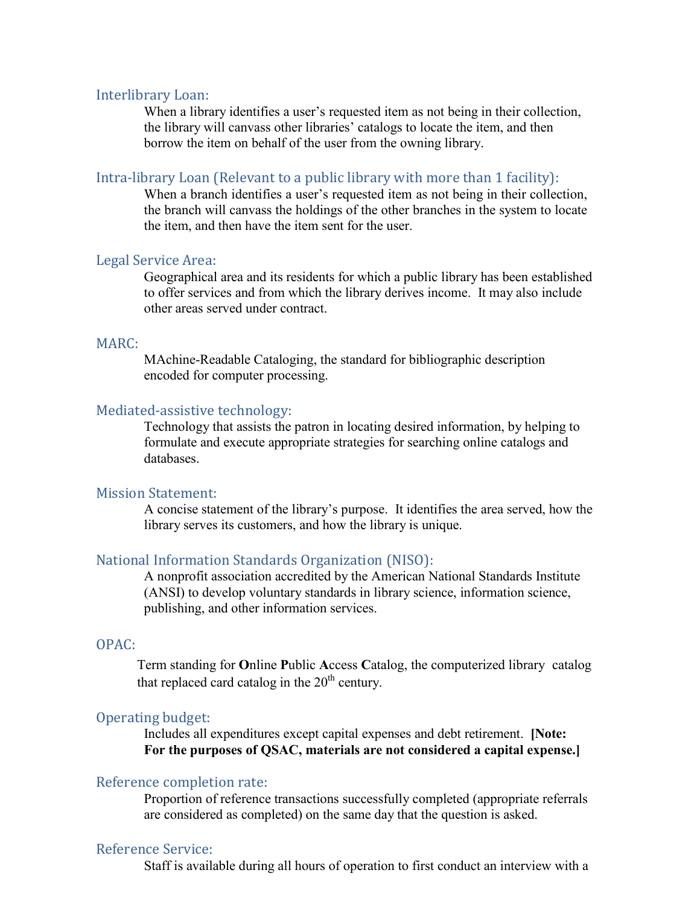### Interlibrary Loan:

When a library identifies a user's requested item as not being in their collection, the library will canvass other libraries' catalogs to locate the item, and then borrow the item on behalf of the user from the owning library.

### Intra-library Loan (Relevant to a public library with more than 1 facility):

When a branch identifies a user's requested item as not being in their collection, the branch will canvass the holdings of the other branches in the system to locate the item, and then have the item sent for the user.

#### Legal Service Area:

Geographical area and its residents for which a public library has been established to offer services and from which the library derives income. It may also include other areas served under contract.

## MARC:

MAchine-Readable Cataloging, the standard for bibliographic description encoded for computer processing.

#### Mediated-assistive technology:

Technology that assists the patron in locating desired [information,](http://www.wcsu.ctstateu.edu/library/#information) by helping to formulate and execute appropriate [strategies](http://www.wcsu.ctstateu.edu/library/#searchstrategy) for searching online [catalogs](http://www.wcsu.ctstateu.edu/library/#onlinecatalog) and [databases](http://www.wcsu.ctstateu.edu/library/#bibdatabase).

# Mission Statement:

A concise statement of the library's purpose. It identifies the area served, how the library serves its customers, and how the library is unique.

# National Information Standards Organization (NISO):

A nonprofit [association](http://www.wcsu.ctstateu.edu/library/#association) [accredited](http://www.wcsu.ctstateu.edu/library/#accreditation) by the [American](http://www.wcsu.ctstateu.edu/library/#ansi) National Standards Institute (ANSI) to develop voluntary [standards](http://www.wcsu.ctstateu.edu/library/#standards) in library [science,](http://www.wcsu.ctstateu.edu/library/#libraryscience) [information](http://www.wcsu.ctstateu.edu/library/#infoscience) science, [publishing,](http://www.wcsu.ctstateu.edu/library/#publishing) and other [information](http://www.wcsu.ctstateu.edu/library/#information) services.

# OPAC:

Term standing for **O**nline **P**ublic **A**ccess **C**atalog, the computerized library catalog that replaced card catalog in the  $20<sup>th</sup>$  century.

# Operating budget:

Includes all expenditures except capital expenses and debt retirement. **[Note: For the purposes of QSAC, materials are not considered a capital expense.]**

### Reference completion rate:

Proportion of reference transactions successfully completed (appropriate referrals are considered as completed) on the same day that the question is asked.

# Reference Service:

Staff is available during all hours of operation to first conduct an interview with a